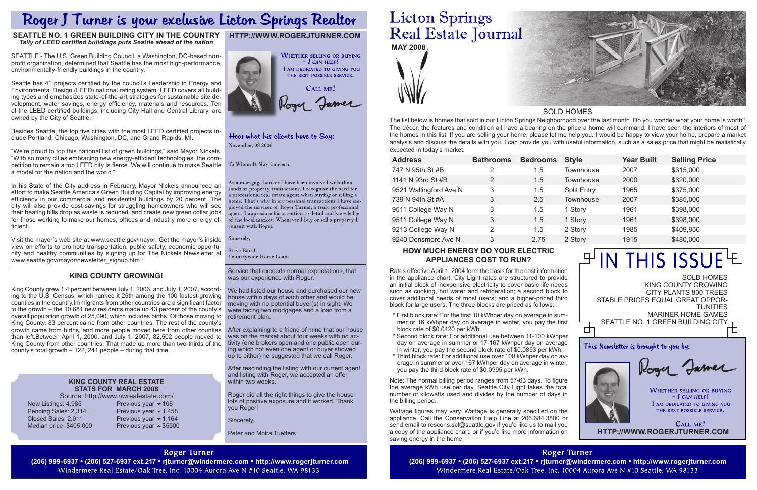# **Licton Springs** Real Estate Journal **MAY 2008**



#### Service that exceeds normal expectations, that was our experience with Roger.

We had listed our house and purchased our new house within days of each other and would be moving with no potential buyer(s) in sight. We were facing two mortgages and a loan from a retirement plan.

After explaining to a friend of mine that our house was on the market about four weeks with no activity (one brokers open and one public open during which not even one agent or buyer showed up to either) he suggested that we call Roger.

After rescinding the listing with our current agent and listing with Roger, we accepted an offer within two weeks.

Roger did all the right things to give the house lots of positive exposure and it worked. Thank you Roger!

Sincerely,

Peter and Moira Tueffers

# **Roger Turner**

(206) 999-6937 • (206) 527-6937 ext.217 • rjturner@windermere.com • http://www.rogerjturner.com (206) 999-6937 • (206) 999-6937 • (206) 527-6937 ext.217 • rjturner@windermere.com • http://www.rogerjturner.com (206) 999-693 Windermere Real Estate/Oak Tree, Inc. 10004 Aurora Ave N #10 Seattle, WA 98133

 $C$ ALL ME! **http://www.rogerjturner.com**

| <b>Address</b>         | <b>Bathrooms</b> | <b>Bedrooms</b> | <b>Style</b>       | <b>Year Built</b> | <b>Selling Price</b> |
|------------------------|------------------|-----------------|--------------------|-------------------|----------------------|
| 747 N 95th St #B       | 2                | 1.5             | <b>Townhouse</b>   | 2007              | \$315,000            |
| 1141 N 93rd St #B      | 2                | 1.5             | <b>Townhouse</b>   | 2000              | \$320,000            |
| 9521 Wallingford Ave N | 3                | 1.5             | <b>Split Entry</b> | 1965              | \$375,000            |
| 739 N 94th St #A       | 3                | 2.5             | <b>Townhouse</b>   | 2007              | \$385,000            |
| 9511 College Way N     | 3                | 1.5             | 1 Story            | 1961              | \$398,000            |
| 9511 College Way N     | 3                | 1.5             | 1 Story            | 1961              | \$398,000            |
| 9213 College Way N     | 2                | 1.5             | 2 Story            | 1985              | \$409,950            |
| 9240 Densmore Ave N    | 3                | 2.75            | 2 Story            | 1915              | \$480,000            |
|                        |                  |                 |                    |                   |                      |

Sold Homes King County Growing City Plants 800 Trees Stable Prices equal Great oppor-**TUNITIES** Mariner Home Games SEATTLE NO. 1 GREEN BUILDING CITY Ѣ

This Newsletter is brought to you by:

Rogy Jamer

**WHETHER SELLING OR BUYING**  $-I$  CAN HELP! I AM DEDICATED TO GIVING YOU THE BEST POSSIBLE SERVICE.

The list below is homes that sold in our Licton Springs Neighborhood over the last month. Do you wonder what your home is worth? The décor, the features and condition all have a bearing on the price a home will command. I have seen the interiors of most of the homes in this list. If you are selling your home, please let me help you. I would be happy to view your home, prepare a market analysis and discuss the details with you. I can provide you with useful information, such as a sales price that might be realistically expected in today's market.

# SOLD HOMES

中

# $\mathbb{P}^{\mathsf{I}}$ in this issue $\mathsf{E}^{\mathsf{I}}\mathsf{E}$

# **http://www.rogerjturner.com**



# Hear what his clients have to Say: November, 08 2006

To Whom It May Concern:

As a mortgage banker I have been involved with thouands of property transactions. I recognize the need for a professional real estate agent when buying or selling a home. That's why in my personal transactions I have employed the services of Roger Turner, a truly professional .<br>agent. I appreciate his attention to detail and knowledge of the local market. Whenever I buy or sell a property I consult with Roger.

Sincerely,

**Steve Baird Countrywide Home Loans** 

### **King County rEAL eSTATE sTATS FOR March 2008**

| SOUICE. IIIID.//        |
|-------------------------|
| New Listings: 4,985     |
| Pending Sales: 2,314    |
| Closed Sales: 2.011     |
| Median price: \$405,000 |
|                         |

/www.nwrealestate.com/ Previous year  $\blacktriangleright$  108 Previous year  $\blacktriangledown$  1,458 Previous year  $\blacktriangleright$  1,164 Previous year  $\triangle$  \$5500

# Roger J Turner is your exclusive Licton Springs Realtor

## **Seattle No. 1 Green Building City in the Country** *Tally of LEED certified buildings puts Seattle ahead of the nation*

SEATTLE - The U.S. Green Building Council, a Washington, DC-based nonprofit organization, determined that Seattle has the most high-performance, environmentally-friendly buildings in the country.

Seattle has 41 projects certified by the council's Leadership in Energy and Environmental Design (LEED) national rating system. LEED covers all building types and emphasizes state-of-the-art strategies for sustainable site development, water savings, energy efficiency, materials and resources. Ten of the LEED certified buildings, including City Hall and Central Library, are owned by the City of Seattle.

Besides Seattle, the top five cities with the most LEED certified projects include Portland, Chicago, Washington, DC, and Grand Rapids, MI.

"We're proud to top this national list of green buildings," said Mayor Nickels. "With so many cities embracing new energy-efficient technologies, the competition to remain a top LEED city is fierce. We will continue to make Seattle a model for the nation and the world."

In his State of the City address in February, Mayor Nickels announced an effort to make Seattle America's Green Building Capital by improving energy efficiency in our commercial and residential buildings by 20 percent. The city will also provide cost-savings for struggling homeowners who will see their heating bills drop as waste is reduced, and create new green collar jobs for those working to make our homes, offices and industry more energy efficient.

Visit the mayor's web site at www.seattle.gov/mayor. Get the mayor's inside view on efforts to promote transportation, public safety, economic opportunity and healthy communities by signing up for The Nickels Newsletter at www.seattle.gov/mayor/newsletter\_signup.htm

# **KING COUNTY GROWING!**

King County grew 1.4 percent between July 1, 2006, and July 1, 2007, according to the U.S. Census, which ranked it 25th among the 100 fastest-growing counties in the country.Immigrants from other countries are a significant factor to the growth – the 10,681 new residents made up 43 percent of the county's overall population growth of 25,090, which includes births. Of those moving to King County, 83 percent came from other countries. The rest of the county's growth came from births, and more people moved here from other counties than left.Between April 1, 2000, and July 1, 2007, 82,502 people moved to King County from other countries. That made up more than two-thirds of the county's total growth – 122, 241 people – during that time.

# **How much energy do your electric appliances cost to run?**

Rates effective April 1, 2004 form the basis for the cost information in the appliance chart. City Light rates are structured to provide an initial block of inexpensive electricity to cover basic life needs such as cooking, hot water and refrigeration; a second block to cover additional needs of most users; and a higher-priced third block for large users. The three blocks are priced as follows:

- \* First block rate: For the first 10 kWhper day on average in summer or 16 kWhper day on average in winter, you pay the first block rate of \$0.0420 per kWh.
- \* Second block rate: For additional use between 11-100 kWhper day on average in summer or 17-167 kWhper day on average in winter, you pay the second block rate of \$0.0853 per kWh.
- \* Third block rate: For additional use over 100 kWhper day on average in summer or over 167 kWhper day on average in winter, you pay the third block rate of \$0.0995 per kWh.

Note: The normal billing period ranges from 57-63 days. To figure the average kWh use per day, Seattle City Light takes the total number of kilowatts used and divides by the number of days in the billing period.

Wattage figures may vary. Wattage is generally specified on the appliance. Call the Conservation Help Line at 206.684.3800 or send email to rescons.scl@seattle.gov if you'd like us to mail you a copy of the appliance chart, or if you'd like more information on saving energy in the home.

> **Roger Turner** Windermere Real Estate/Oak Tree, Inc. 10004 Aurora Ave N #10 Seattle, WA 98133